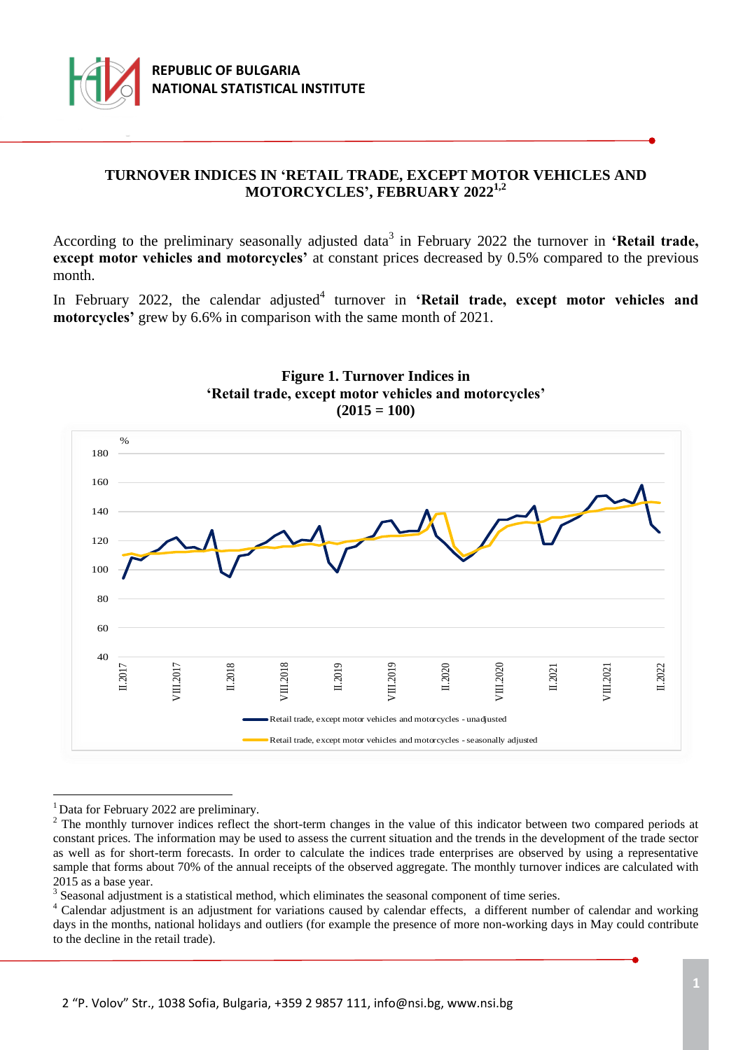

# **TURNOVER INDICES IN 'RETAIL TRADE, EXCEPT MOTOR VEHICLES AND MOTORCYCLES', FEBRUARY 2022 1,2**

According to the preliminary seasonally adjusted data<sup>3</sup> in February 2022 the turnover in 'Retail trade, **except motor vehicles and motorcycles'** at constant prices decreased by 0.5% compared to the previous month.

In February 2022, the calendar adjusted<sup>4</sup> turnover in 'Retail trade, except motor vehicles and **motorcycles'** grew by 6.6% in comparison with the same month of 2021.



## **Figure 1. Turnover Indices in 'Retail trade, except motor vehicles and motorcycles' (2015 = 100)**

a<br>B

 $3$  Seasonal adjustment is a statistical method, which eliminates the seasonal component of time series.

<sup>&</sup>lt;sup>1</sup> Data for February 2022 are preliminary.

<sup>&</sup>lt;sup>2</sup> The monthly turnover indices reflect the short-term changes in the value of this indicator between two compared periods at constant prices. The information may be used to assess the current situation and the trends in the development of the trade sector as well as for short-term forecasts. In order to calculate the indices trade enterprises are observed by using a representative sample that forms about 70% of the annual receipts of the observed aggregate. The monthly turnover indices are calculated with 2015 as a base year.

<sup>4</sup> Calendar adjustment is an adjustment for variations caused by calendar effects, a different number of calendar and working days in the months, national holidays and outliers (for example the presence of more non-working days in May could contribute to the decline in the retail trade).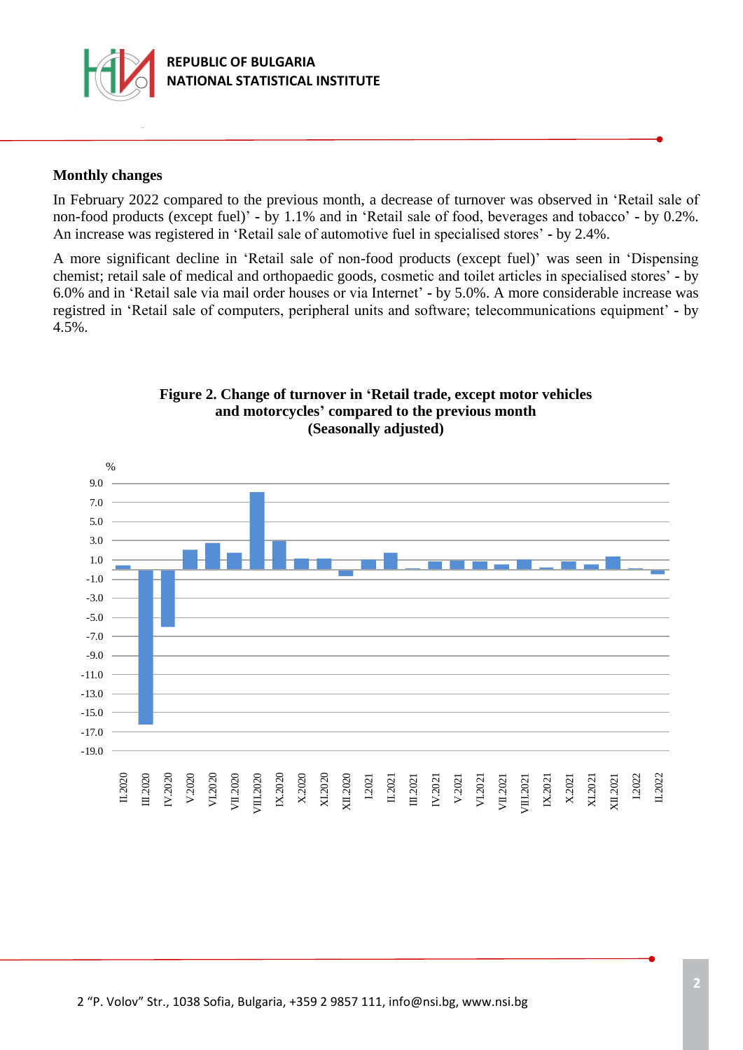

## **Monthly changes**

In February 2022 compared to the previous month, a decrease of turnover was observed in 'Retail sale of non-food products (except fuel)' **-** by 1.1% and in 'Retail sale of food, beverages and tobacco' **-** by 0.2%. Аn increase was registered in 'Retail sale of automotive fuel in specialised stores' **-** by 2.4%.

A more significant decline in 'Retail sale of non-food products (except fuel)' was seen in 'Dispensing chemist; retail sale of medical and orthopaedic goods, cosmetic and toilet articles in specialised stores' **-** by 6.0% and in 'Retail sale via mail order houses or via Internet' **-** by 5.0%. A more considerable increase was registred in 'Retail sale of computers, peripheral units and software; telecommunications equipment' **-** by 4.5%.



## **Figure 2. Change of turnover in 'Retail trade, except motor vehicles and motorcycles' compared to the previous month (Seasonally adjusted)**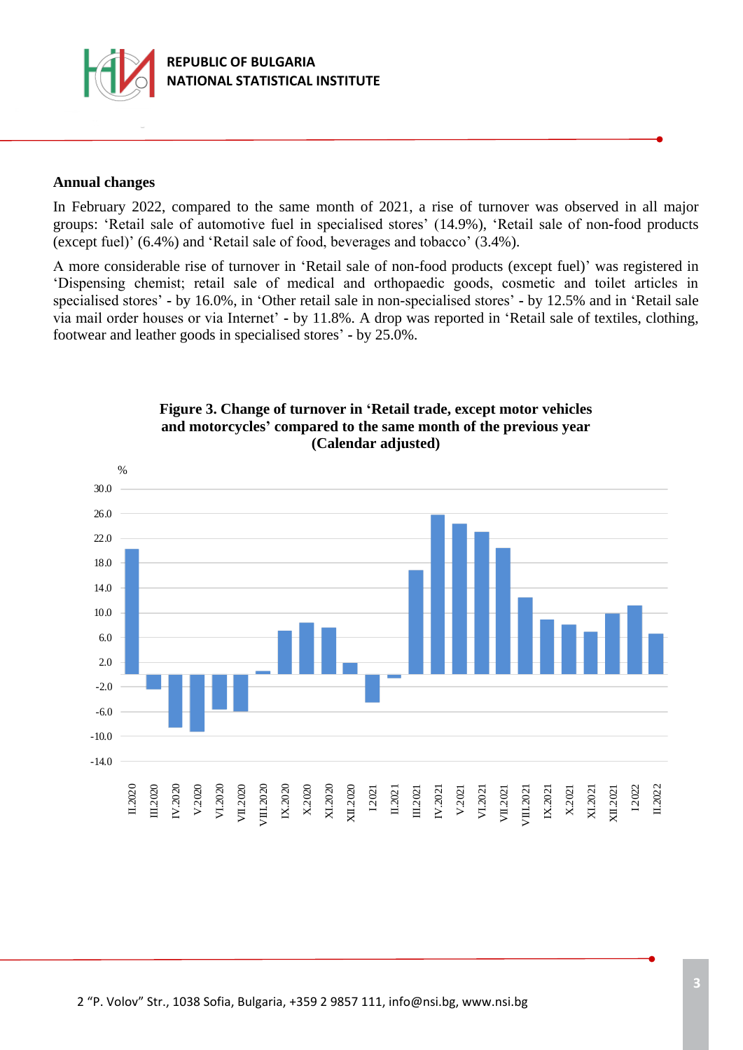

## **Annual changes**

In February 2022, compared to the same month of 2021, a rise of turnover was observed in all major groups: 'Retail sale of automotive fuel in specialised stores' (14.9%), 'Retail sale of non**-**food products (except fuel)' (6.4%) and 'Retail sale of food, beverages and tobacco' (3.4%).

А more considerable rise of turnover in 'Retail sale of non-food products (except fuel)' was registered in 'Dispensing chemist; retail sale of medical and orthopaedic goods, cosmetic and toilet articles in specialised stores' **-** by 16.0%, in 'Other retail sale in non-specialised stores' **-** by 12.5% and in 'Retail sale via mail order houses or via Internet' **-** by 11.8%. A drop was reported in 'Retail sale of textiles, clothing, footwear and leather goods in specialised stores' **-** by 25.0%.



## **Figure 3. Change of turnover in 'Retail trade, except motor vehicles and motorcycles' compared to the same month of the previous year (Calendar adjusted)**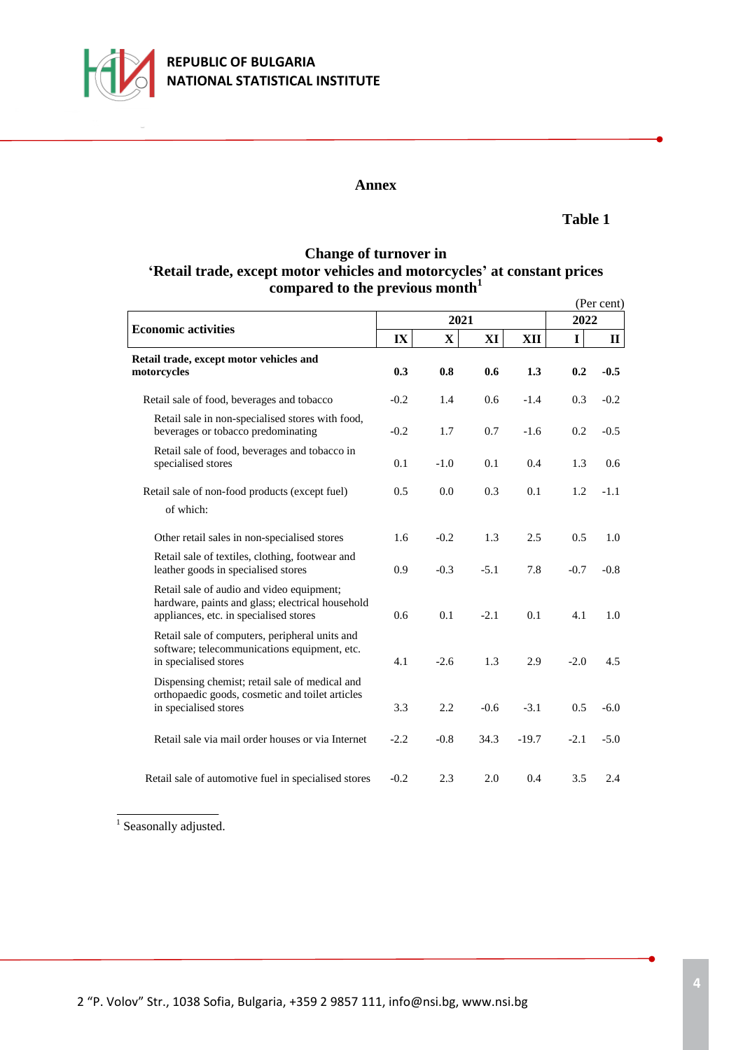

#### **Annex**

#### **Table 1**

# **Change of turnover in 'Retail trade, except motor vehicles and motorcycles' at constant prices compared to the previous month<sup>1</sup>**

|                                                                                                                                         |        |              |        |         |              | (Per cent)  |
|-----------------------------------------------------------------------------------------------------------------------------------------|--------|--------------|--------|---------|--------------|-------------|
|                                                                                                                                         |        | 2021         |        | 2022    |              |             |
| <b>Economic activities</b>                                                                                                              | IX     | $\mathbf{X}$ | XI     | XII     | $\mathbf{I}$ | $\mathbf H$ |
| Retail trade, except motor vehicles and<br>motorcycles                                                                                  | 0.3    | 0.8          | 0.6    | 1.3     | 0.2          | $-0.5$      |
| Retail sale of food, beverages and tobacco                                                                                              | $-0.2$ | 1.4          | 0.6    | $-1.4$  | 0.3          | $-0.2$      |
| Retail sale in non-specialised stores with food,<br>beverages or tobacco predominating                                                  | $-0.2$ | 1.7          | 0.7    | $-1.6$  | 0.2          | $-0.5$      |
| Retail sale of food, beverages and tobacco in<br>specialised stores                                                                     | 0.1    | $-1.0$       | 0.1    | 0.4     | 1.3          | 0.6         |
| Retail sale of non-food products (except fuel)<br>of which:                                                                             | 0.5    | 0.0          | 0.3    | 0.1     | 1.2          | $-1.1$      |
| Other retail sales in non-specialised stores                                                                                            | 1.6    | $-0.2$       | 1.3    | 2.5     | 0.5          | 1.0         |
| Retail sale of textiles, clothing, footwear and<br>leather goods in specialised stores                                                  | 0.9    | $-0.3$       | $-5.1$ | 7.8     | $-0.7$       | $-0.8$      |
| Retail sale of audio and video equipment;<br>hardware, paints and glass; electrical household<br>appliances, etc. in specialised stores | 0.6    | 0.1          | $-2.1$ | 0.1     | 4.1          | 1.0         |
| Retail sale of computers, peripheral units and<br>software; telecommunications equipment, etc.<br>in specialised stores                 | 4.1    | $-2.6$       | 1.3    | 2.9     | $-2.0$       | 4.5         |
| Dispensing chemist; retail sale of medical and<br>orthopaedic goods, cosmetic and toilet articles<br>in specialised stores              | 3.3    | 2.2          | $-0.6$ | $-3.1$  | 0.5          | $-6.0$      |
| Retail sale via mail order houses or via Internet                                                                                       | $-2.2$ | $-0.8$       | 34.3   | $-19.7$ | $-2.1$       | $-5.0$      |
| Retail sale of automotive fuel in specialised stores                                                                                    | $-0.2$ | 2.3          | 2.0    | 0.4     | 3.5          | 2.4         |

<sup>1</sup> Seasonally adjusted.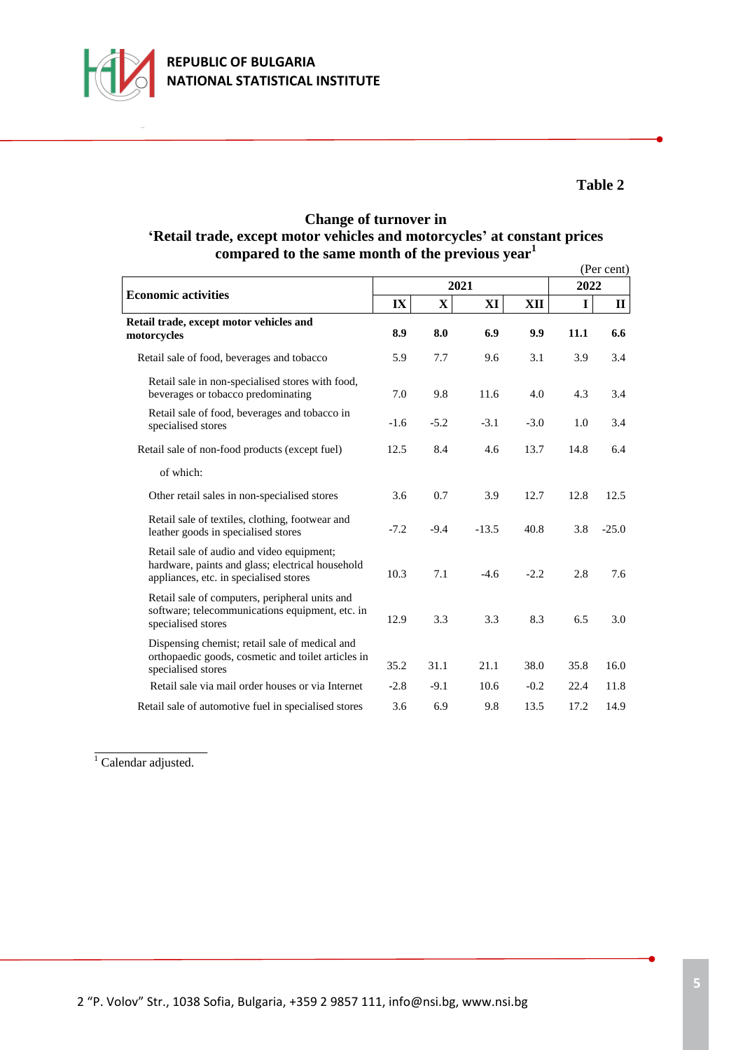

# **Table 2**

## **Change of turnover in 'Retail trade, except motor vehicles and motorcycles' at constant prices compared to the same month of the previous year<sup>1</sup>**

|                                                                                                                                         |        |              |         |        |             | (Per cent)   |
|-----------------------------------------------------------------------------------------------------------------------------------------|--------|--------------|---------|--------|-------------|--------------|
|                                                                                                                                         |        | 2021         |         | 2022   |             |              |
| <b>Economic activities</b>                                                                                                              | IX     | $\mathbf{X}$ | XI      | XII    | $\mathbf I$ | $\mathbf{I}$ |
| Retail trade, except motor vehicles and<br>motorcycles                                                                                  | 8.9    | 8.0          | 6.9     | 9.9    | 11.1        | 6.6          |
| Retail sale of food, beverages and tobacco                                                                                              | 5.9    | 7.7          | 9.6     | 3.1    | 3.9         | 3.4          |
| Retail sale in non-specialised stores with food,<br>beverages or tobacco predominating                                                  | 7.0    | 9.8          | 11.6    | 4.0    | 4.3         | 3.4          |
| Retail sale of food, beverages and tobacco in<br>specialised stores                                                                     | $-1.6$ | $-5.2$       | $-3.1$  | $-3.0$ | 1.0         | 3.4          |
| Retail sale of non-food products (except fuel)                                                                                          | 12.5   | 8.4          | 4.6     | 13.7   | 14.8        | 6.4          |
| of which:                                                                                                                               |        |              |         |        |             |              |
| Other retail sales in non-specialised stores                                                                                            | 3.6    | 0.7          | 3.9     | 12.7   | 12.8        | 12.5         |
| Retail sale of textiles, clothing, footwear and<br>leather goods in specialised stores                                                  | $-7.2$ | $-9.4$       | $-13.5$ | 40.8   | 3.8         | $-25.0$      |
| Retail sale of audio and video equipment;<br>hardware, paints and glass; electrical household<br>appliances, etc. in specialised stores | 10.3   | 7.1          | $-4.6$  | $-2.2$ | 2.8         | 7.6          |
| Retail sale of computers, peripheral units and<br>software; telecommunications equipment, etc. in<br>specialised stores                 | 12.9   | 3.3          | 3.3     | 8.3    | 6.5         | 3.0          |
| Dispensing chemist; retail sale of medical and<br>orthopaedic goods, cosmetic and toilet articles in<br>specialised stores              | 35.2   | 31.1         | 21.1    | 38.0   | 35.8        | 16.0         |
| Retail sale via mail order houses or via Internet                                                                                       | $-2.8$ | $-9.1$       | 10.6    | $-0.2$ | 22.4        | 11.8         |
| Retail sale of automotive fuel in specialised stores                                                                                    | 3.6    | 6.9          | 9.8     | 13.5   | 17.2        | 14.9         |

 $\overline{1}$  Calendar adjusted.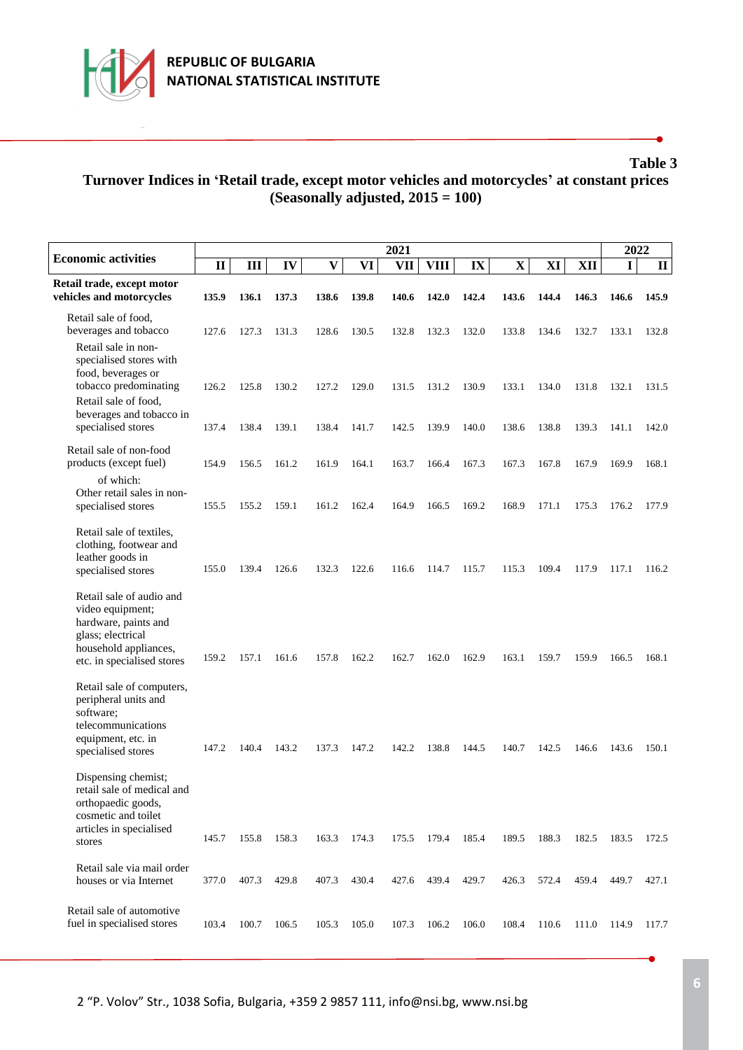

ı

# **Table 3 Turnover Indices in 'Retail trade, except motor vehicles and motorcycles' at constant prices (Seasonally adjusted, 2015 = 100)**

|                                                                                                                                                   | 2021         |       |       |              |       |            |             |       |             |       |       | 2022        |              |
|---------------------------------------------------------------------------------------------------------------------------------------------------|--------------|-------|-------|--------------|-------|------------|-------------|-------|-------------|-------|-------|-------------|--------------|
| <b>Economic activities</b>                                                                                                                        | $\mathbf{I}$ | Ш     | IV    | $\mathbf{V}$ | VI    | <b>VII</b> | <b>VIII</b> | IX    | $\mathbf X$ | XI    | XII   | $\mathbf I$ | $\mathbf{I}$ |
| Retail trade, except motor<br>vehicles and motorcycles                                                                                            | 135.9        | 136.1 | 137.3 | 138.6        | 139.8 | 140.6      | 142.0       | 142.4 | 143.6       | 144.4 | 146.3 | 146.6       | 145.9        |
| Retail sale of food,<br>beverages and tobacco                                                                                                     | 127.6        | 127.3 | 131.3 | 128.6        | 130.5 | 132.8      | 132.3       | 132.0 | 133.8       | 134.6 | 132.7 | 133.1       | 132.8        |
| Retail sale in non-<br>specialised stores with<br>food, beverages or<br>tobacco predominating<br>Retail sale of food,<br>beverages and tobacco in | 126.2        | 125.8 | 130.2 | 127.2        | 129.0 | 131.5      | 131.2       | 130.9 | 133.1       | 134.0 | 131.8 | 132.1       | 131.5        |
| specialised stores                                                                                                                                | 137.4        | 138.4 | 139.1 | 138.4        | 141.7 | 142.5      | 139.9       | 140.0 | 138.6       | 138.8 | 139.3 | 141.1       | 142.0        |
| Retail sale of non-food<br>products (except fuel)<br>of which:                                                                                    | 154.9        | 156.5 | 161.2 | 161.9        | 164.1 | 163.7      | 166.4       | 167.3 | 167.3       | 167.8 | 167.9 | 169.9       | 168.1        |
| Other retail sales in non-<br>specialised stores                                                                                                  | 155.5        | 155.2 | 159.1 | 161.2        | 162.4 | 164.9      | 166.5       | 169.2 | 168.9       | 171.1 | 175.3 | 176.2       | 177.9        |
| Retail sale of textiles,<br>clothing, footwear and<br>leather goods in<br>specialised stores                                                      | 155.0        | 139.4 | 126.6 | 132.3        | 122.6 | 116.6      | 114.7       | 115.7 | 115.3       | 109.4 | 117.9 | 117.1       | 116.2        |
| Retail sale of audio and<br>video equipment;<br>hardware, paints and<br>glass; electrical<br>household appliances,<br>etc. in specialised stores  | 159.2        | 157.1 | 161.6 | 157.8        | 162.2 | 162.7      | 162.0       | 162.9 | 163.1       | 159.7 | 159.9 | 166.5       | 168.1        |
| Retail sale of computers,<br>peripheral units and<br>software;<br>telecommunications<br>equipment, etc. in<br>specialised stores                  | 147.2        | 140.4 | 143.2 | 137.3        | 147.2 | 142.2      | 138.8       | 144.5 | 140.7       | 142.5 | 146.6 | 143.6       | 150.1        |
| Dispensing chemist;<br>retail sale of medical and<br>orthopaedic goods,<br>cosmetic and toilet<br>articles in specialised                         | 145.7        | 155.8 | 158.3 | 163.3        | 174.3 | 175.5      | 179.4       | 185.4 | 189.5       | 188.3 | 182.5 | 183.5       | 172.5        |
| stores                                                                                                                                            |              |       |       |              |       |            |             |       |             |       |       |             |              |
| Retail sale via mail order<br>houses or via Internet                                                                                              | 377.0        | 407.3 | 429.8 | 407.3        | 430.4 | 427.6      | 439.4       | 429.7 | 426.3       | 572.4 | 459.4 | 449.7       | 427.1        |
| Retail sale of automotive<br>fuel in specialised stores                                                                                           | 103.4        | 100.7 | 106.5 | 105.3        | 105.0 | 107.3      | 106.2       | 106.0 | 108.4       | 110.6 | 111.0 | 114.9       | 117.7        |